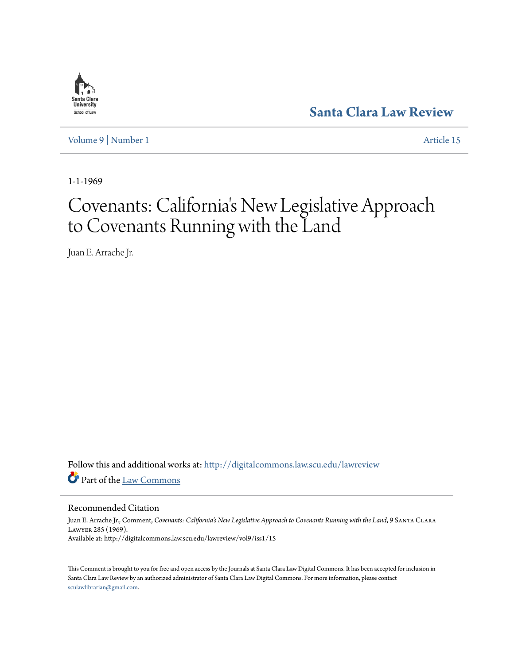

**[Santa Clara Law Review](http://digitalcommons.law.scu.edu/lawreview?utm_source=digitalcommons.law.scu.edu%2Flawreview%2Fvol9%2Fiss1%2F15&utm_medium=PDF&utm_campaign=PDFCoverPages)**

[Volume 9](http://digitalcommons.law.scu.edu/lawreview/vol9?utm_source=digitalcommons.law.scu.edu%2Flawreview%2Fvol9%2Fiss1%2F15&utm_medium=PDF&utm_campaign=PDFCoverPages) | [Number 1](http://digitalcommons.law.scu.edu/lawreview/vol9/iss1?utm_source=digitalcommons.law.scu.edu%2Flawreview%2Fvol9%2Fiss1%2F15&utm_medium=PDF&utm_campaign=PDFCoverPages) [Article 15](http://digitalcommons.law.scu.edu/lawreview/vol9/iss1/15?utm_source=digitalcommons.law.scu.edu%2Flawreview%2Fvol9%2Fiss1%2F15&utm_medium=PDF&utm_campaign=PDFCoverPages)

1-1-1969

# Covenants: California 's New Legislative Approach to Covenants Running with the Land

Juan E. Arrache Jr.

Follow this and additional works at: [http://digitalcommons.law.scu.edu/lawreview](http://digitalcommons.law.scu.edu/lawreview?utm_source=digitalcommons.law.scu.edu%2Flawreview%2Fvol9%2Fiss1%2F15&utm_medium=PDF&utm_campaign=PDFCoverPages) Part of the [Law Commons](http://network.bepress.com/hgg/discipline/578?utm_source=digitalcommons.law.scu.edu%2Flawreview%2Fvol9%2Fiss1%2F15&utm_medium=PDF&utm_campaign=PDFCoverPages)

Recommended Citation

Juan E. Arrache Jr., Comment, *Covenants: California's New Legislative Approach to Covenants Running with the Land*, 9 Santa Clara Lawyer 285 (1969). Available at: http://digitalcommons.law.scu.edu/lawreview/vol9/iss1/15

This Comment is brought to you for free and open access by the Journals at Santa Clara Law Digital Commons. It has been accepted for inclusion in Santa Clara Law Review by an authorized administrator of Santa Clara Law Digital Commons. For more information, please contact [sculawlibrarian@gmail.com](mailto:sculawlibrarian@gmail.com).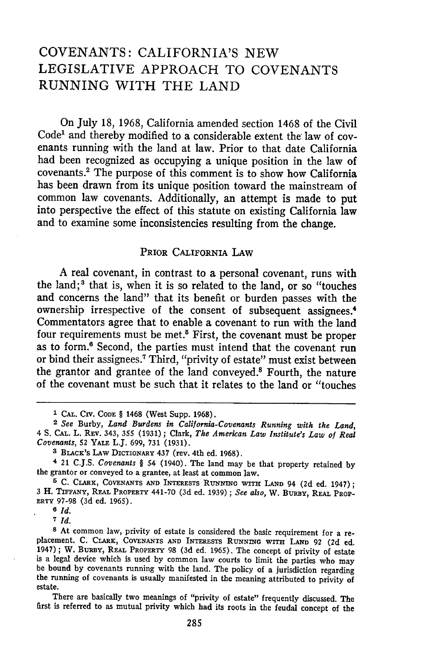# **COVENANTS:** CALIFORNIA'S **NEW** LEGISLATIVE APPROACH TO **COVENANTS RUNNING** WITH THE **LAND**

On July 18, 1968, California amended section 1468 of the Civil Code' and thereby modified to a considerable extent the law of covenants running with the land at law. Prior to that date California had been recognized as occupying a unique position in the law of covenants.<sup>2</sup> The purpose of this comment is to show how California has been drawn from its unique position toward the mainstream of common law covenants. Additionally, an attempt is made to put into perspective the effect of this statute on existing California law and to examine some inconsistencies resulting from the change.

# PRIOR CALIFORNIA LAW

A real covenant, in contrast to a personal covenant, runs with the land;<sup>3</sup> that is, when it is so related to the land, or so "touches and concerns the land" that its benefit or burden passes with the ownership irrespective of the consent of subsequent assignees.<sup>4</sup> Commentators agree that to enable a covenant to run with the land four requirements must be met.5 First, the covenant must be proper as to form.<sup>6</sup> Second, the parties must intend that the covenant run or bind their assignees. 7 Third, "privity of estate" must exist between the grantor and grantee of the land conveyed.' Fourth, the nature of the covenant must be such that it relates to the land or "touches

**<sup>6</sup>***Id.*

**<sup>7</sup>***Id.*

**<sup>1</sup>CAL.** CIV. **CODE** § 1468 (West Supp. 1968). <sup>2</sup>*See* Burby, *Land Burdens in California-Covenants Running with the Land,* 4 **S. CAL.** L. **REV.** 343, 355 (1931); Clark, *The American Law Institute's Law of Real Covenants,* 52 **YALE** L.J. 699, 731 (1931).

**<sup>3</sup>** BLACK'S **LAW** DICTIONARY 437 (rev. 4th ed. 1968).

**<sup>4</sup>**21 C.J.S. *Covenants §* 54 (1940). The land may be that property retained by the grantor or conveyed to a grantee, at least at common law.

**<sup>5</sup>** C. CLARK, **COVENANTS AND** INTERESTS **RUNNING WITH LAND** 94 **(2d** ed. 1947); **3** H. **TIFFANY, REAL** PROPERTY 441-70 (3d ed. 1939); *See also,* W. **BURBY,** REAL PROP-**ERTY** 97-98 (3d ed. 1965).

**<sup>8</sup>** At common law, privity of estate is considered the basic requirement for a replacement. **C.** 'CLARK, **COVENANTS AND** INTERESTS RUNNING wiTH **LAND 92** (2d ed. 1947); W. BURBY, REAL PROPERTY 98 (3d ed. 1965). The concept of privity of estate is a legal device which is used by common law courts to limit the parties who may be bound by covenants running with the land. The policy of a jurisdiction regarding the running of covenants is usually manifested in the meaning attributed to privity of estate.

There are basically two meanings of "privity of estate" frequently discussed. The **first** is referred to as mutual privity which had its roots in the feudal concept of the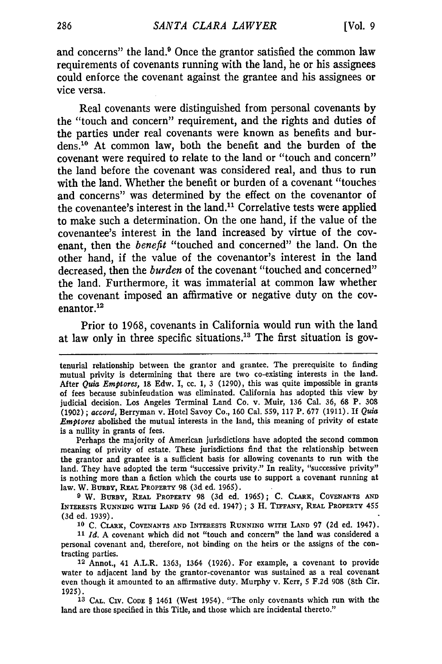and concerns" the land.<sup>9</sup> Once the grantor satisfied the common law requirements of covenants running with the land, he or his assignees could enforce the covenant against the grantee and his assignees or vice versa.

Real covenants were distinguished from personal covenants **by** the "touch and concern" requirement, and the rights and duties of the parties under real covenants were known as benefits and burdens. 10 At common law, both the benefit and the burden of the covenant were required to relate to the land or "touch and concern" the land before the covenant was considered real, and thus to run with the land. Whether the benefit or burden of a covenant "touches" and concerns" was determined **by** the effect on the covenantor of the covenantee's interest in the land." Correlative tests were applied to make such a determination. On the one hand, if the value of the covenantee's interest in the land increased **by** virtue of the covenant, then the *benefit* "touched and concerned" the land. On the other hand, if the value of the covenantor's interest in the land decreased, then the *burden* of the covenant "touched and concerned" the land. Furthermore, it was immaterial at common law whether the covenant imposed an affirmative or negative duty on the covenantor.<sup>12</sup>

Prior to **1968,** covenants in California would run with the land at law only in three specific situations.<sup>13</sup> The first situation is gov-

Perhaps the majority of American jurisdictions have adopted the second common meaning of privity of estate. These jurisdictions find that the relationship between the grantor and grantee is a sufficient basis for allowing covenants to run with the land. They have adopted the term "successive privity." In reality, "successive privity" is nothing more than a fiction which the courts use to support a covenant running at law. W. BuRrY, REAL PROPERTY **98** (3d ed. 1965).

**9** W. BuRBY, **REAL PROPERTY 98 (3d** ed. **1965); C. CLARK, COVENANTS AND INTERESTS RUNNING** wiTH **LAND** 96 (2d ed. 1947); 3 H. **TIFFANY,** REAL **PROPERTY** 455 (3d ed. 1939).

**10 C.** CLARK, **COVENANTS AND INTERESTS RUNNING WITH LAND** 97 **(2d** ed. 1947).

*11 Id.* **A** covenant which did not "touch and concern" the land was considered a personal covenant and, therefore, not binding on the heirs or the assigns of the contracting parties.

**12** Annot., 41 A.L.R. 1363, 1364 **(1926).** For example, a covenant to provide water to adjacent land **by** the grantor-covenantor was sustained as a real covenant even though it amounted to an affirmative duty. Murphy v. Kerr, 5 **F.2d 908** (8th Cir. 1925).

**13** CAL. **CIV.** CODE § 1461 (West 1954). "The only covenants which run with the land are those specified in this Title, and those which are incidental thereto."

tenurial relationship between the grantor and grantee. The prerequisite to finding mutual privity is determining that there are two co-existing interests in the land. After *Quia Emptores,* 18 Edw. I, cc. 1, 3 (1290), this was quite impossible in grants of fees because subinfeudation was eliminated. California has adopted this view by judicial decision. Los Angeles Terminal Land Co. v. Muir, 136 Cal. **36,** 68 P. 308 (1902) ; *accord,* Berryman v. Hotel Savoy Co., 160 Cal. 559, 117 P. 677 (1911). If *Quia Emptores* abolished the mutual interests in the land, this meaning of privity of estate is a nullity in grants of fees.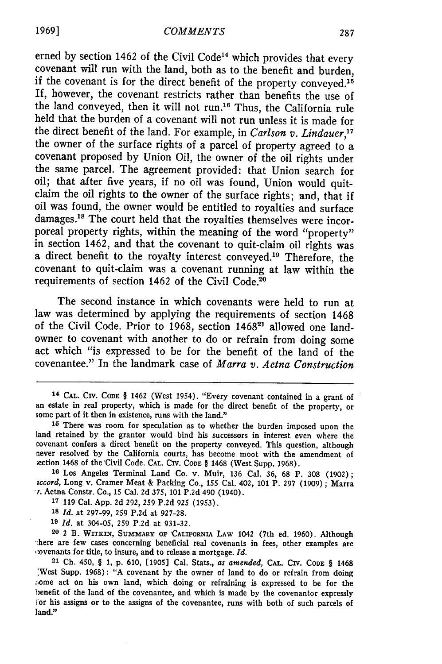erned by section 1462 of the Civil Code<sup>14</sup> which provides that every covenant will run with the land, both as to the benefit and burden, if the covenant is for the direct benefit of the property conveyed.<sup>15</sup> If, however, the covenant restricts rather than benefits the use of the land conveyed, then it will not run.<sup>16</sup> Thus, the California rule held that the burden of a covenant will not run unless it is made for the direct benefit of the land. For example, in *Carlson v. Lindauer,17* the owner of the surface rights of a parcel of property agreed to a covenant proposed **by** Union Oil, the owner of the oil rights under the same parcel. The agreement provided: that Union search for oil; that after five years, if no oil was found, Union would quitclaim the oil rights to the owner of the surface rights; and, that if oil was found, the owner would be entitled to royalties and surface damages.18 The court held that the royalties themselves were incorporeal property rights, within the meaning of the word "property" in section 1462, and that the covenant to quit-claim oil rights was a direct benefit to the royalty interest conveyed.<sup>19</sup> Therefore, the covenant to quit-claim was a covenant running at law within the requirements of section 1462 of the Civil Code.<sup>20</sup>

The second instance in which covenants were held to run at law was determined **by** applying the requirements of section 1468 of the Civil Code. Prior to **1968,** section 146821 allowed one landowner to covenant with another to do or refrain from doing some act which "is expressed to be for the benefit of the land of the covenantee." In the landmark case of *Marra v. Aetna Construction*

<sup>&</sup>lt;sup>14</sup> CAL. CIV. CODE § 1462 (West 1954). "Every covenant contained in a grant of an estate in real property, which is made for the direct benefit of the property, or some part of it then in existence, runs with the land."

**<sup>15</sup>**There was room for speculation as to whether the burden imposed upon the land retained **by** the grantor would bind his successors in interest even where the covenant confers a direct benefit on the property conveyed. This question, although never resolved **by** the California courts, has become moot with the amendment of ;ection 1468 of the 'Civil Code. **CAL.** CIV. **CODE §** 1468 (West Supp. **1968). <sup>16</sup>**Los Angeles Terminal Land Co. v. Muir, **136** Cal. **36, 68** P. **308 (1902);**

*iccord,* Long v. Cramer Meat **&** Packing Co., 155 Cal. 402, **101** P. **297 (1909) ;** Marra **.** Aetna Constr. Co., **15** Cal. **2d 375, 101 P.2d** 490 (1940).

**<sup>17 119</sup>** Cal. **App. 2d 292, 259 P.2d 925 (1953).**

**<sup>18</sup>***Id.* at 297-99, **259 P.2d** at **927-28.**

**<sup>19</sup>***Id.* at 304-05, **259 P.2d** at **931-32.**

**<sup>20</sup>** 2 B. **WITKIN, SUMMARY OF ICALIFORNIA LAW** 1042 (7th ed. **1960).** Although There are few cases concerning beneficial real covenants in fees, other examples are<br>  $\infty$  venants for title, to insure, and to release a mortgage. *Id*.<br>
<sup>21</sup> Ch. 450, § 1, p. 610, [1905] Cal. Stats., *as amended*, CAL.

<sup>:</sup>West Supp. **1968): "A** covenant **by** the owner of land to do or refrain from doing :iome act on his own land, which doing or refraining is expressed to be for the benefit of the land of the covenantee, and which is made **by** the covenantor expressly !or his assigns or to the assigns of the covenantee, runs with both of such parcels of land."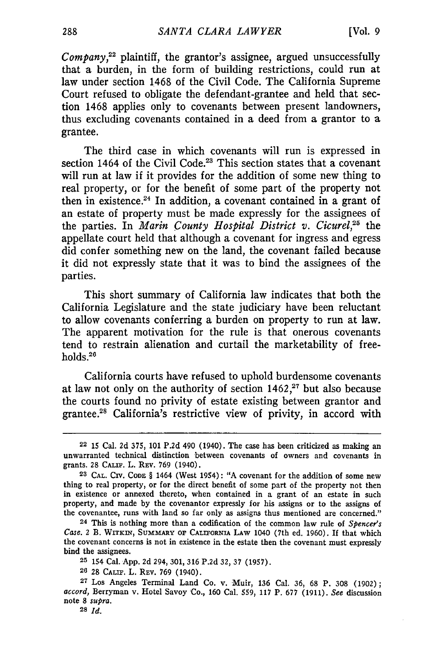*Company*, $22$  plaintiff, the grantor's assignee, argued unsuccessfully that a burden, in the form of building restrictions, could run at law under section 1468 of the Civil Code. The California Supreme Court refused to obligate the defendant-grantee and held that section 1468 applies only to covenants between present landowners, thus excluding covenants contained in a deed from a grantor to a grantee.

The third case in which covenants will run is expressed in section 1464 of the Civil Code.<sup>23</sup> This section states that a covenant will run at law if it provides for the addition of some new thing to real property, or for the benefit of some part of the property not then in existence.<sup>24</sup> In addition, a covenant contained in a grant of an estate of property must be made expressly for the assignees of the parties. In *Marin County Hospital District v. Cicurel*<sup>25</sup> the appellate court held that although a covenant for ingress and egress did confer something new on the land, the covenant failed because it did not expressly state that it was to bind the assignees of the parties.

This short summary of California law indicates that both the California Legislature and the state judiciary have been reluctant to allow covenants conferring a burden on property to run at law. The apparent motivation for the rule is that onerous covenants tend to restrain alienation and curtail the marketability of freeholds.26

California courts have refused to uphold burdensome covenants at law not only on the authority of section  $1462$ ,<sup>27</sup> but also because the courts found no privity of estate existing between grantor and grantee.<sup>28</sup> California's restrictive view of privity, in accord with

<sup>22</sup> **15** Cal. **2d** 375, **101 P.2d** 490 (1940). The case has been criticized as making an unwarranted technical distinction between covenants of owners and covenants in grants. **28 CALF.** L. **REV. 769** (1940).

**<sup>23</sup> CAL. CIV. CODE §** 1464 (West 1954): **"A** covenant for the addition of some new thing to real property, or for the direct benefit of some part of the property not then in existence or annexed thereto, when contained in a grant of an estate in such property, and made **by** the covenantor expressly for his assigns or to the assigns of the covenantee, runs with land so far only as assigns thus mentioned are concerned."

<sup>24</sup> This is nothing more than a codification of the common law rule of *Spencer's* Case. 2 B. WITKIN, SUMMARY OF CALIFORNIA LAW 1040 (7th ed. 1960). If that which the covenant concerns is not in existence in the estate then the covenant must expressly bind the assignees.

**<sup>25</sup>** 154 Cal. App. **2d** 294, 301, **316 P.2d 32, 37** (1957).

**<sup>26 28</sup>** CALIF. L. REV. 769 (1940).

**<sup>27</sup>** Los Angeles Terminal Land Co. v. Muir, **136** Cal. 36, 68 P. **308 (1902);** accord, Berryman v. Hotel Savoy Co., **160** Cal. **559, 117** P. **677** (1911). *See* discussion note **8** *supra.*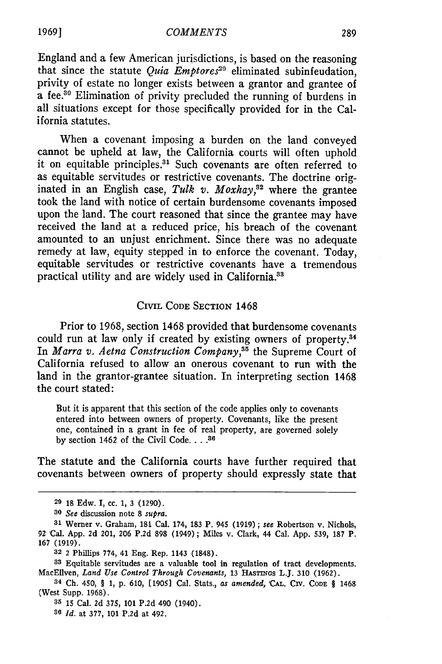England and a few American jurisdictions, is based on the reasoning that since the statute *Quia Emptores"9* eliminated subinfeudation, privity of estate no longer exists between a grantor and grantee of a fee.<sup>30</sup> Elimination of privity precluded the running of burdens in all situations except for those specifically provided for in the California statutes.

When a covenant imposing a burden on the land conveyed cannot be upheld at law, the California courts will often uphold it on equitable principles.<sup>31</sup> Such covenants are often referred to as equitable servitudes or restrictive covenants. The doctrine originated in an English case, *Tulk v. Moxhay*,<sup>32</sup> where the grantee took the land with notice of certain burdensome covenants imposed upon the land. The court reasoned that since the grantee may have received the land at a reduced price, his breach of the covenant amounted to an unjust enrichment. Since there was no adequate remedy at law, equity stepped in to enforce the covenant. Today, equitable servitudes or restrictive covenants have a tremendous practical utility and are widely used in California.<sup>33</sup>

### CIVIL CODE SECTION 1468

Prior to 1968, section 1468 provided that burdensome covenants could run at law only if created by existing owners of property.<sup>34</sup> In *Marra v. Aetna Construction Company, <sup>5</sup>*the Supreme Court of California refused to allow an onerous covenant to run with the land in the grantor-grantee situation. In interpreting section 1468 the court stated:

But it is apparent that this section of the code applies only to covenants entered into between owners of property. Covenants, like the present one, contained in a grant in fee of real property, are governed solely **by** section 1462 of the Civil Code **.... 36**

The statute and the California courts have further required that covenants between owners of property should expressly state that

**1969]**

**<sup>29 18</sup>** Edw. I, cc. 1, **3** (1290).

**<sup>80</sup>** *See* discussion note **8** *supra.*

**<sup>31</sup>** Werner v. Graham, **181** Cal. 174, **183** P. 945 (1919); *see* Robertson v. Nichols, 92 'Cal. App. 2d 201, **206** P.2d **898** (1949); Miles v. Clark, 44 Cal. App. 539, **187** P. **167** (1919).

**<sup>82</sup>** 2 Phillips 774, 41 Eng. Rep. 1143 **(1848).**

**<sup>33</sup>**Equitable servitudes are a valuable tool in regulation of tract developments. MacEllven, *Land Use Control Through Covenants,* **13** HAsmxos L.J. **310** (1962).

<sup>34</sup> **Ch.** 450, § **1, p. 610, [1905]** Cal. Stats., *as amended,* 'CAL. CiV. **CODE** § 1468 (West Supp. 1968).

**<sup>35 15</sup>** Cal. **2d** 375, 101 **P.2d** 490 (1940).

**<sup>86</sup>** *Id.* at 377, 101 **P.2d** at 492.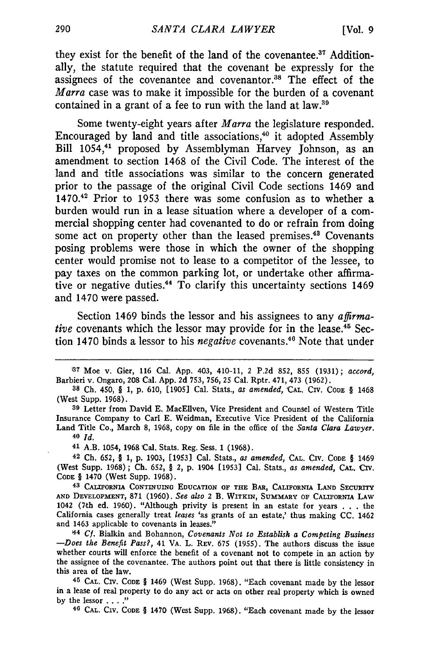they exist for the benefit of the land of the covenantee. $37$  Additionally, the statute required that the covenant be expressly for the assignees of the covenantee and covenantor.<sup>38</sup> The effect of the *Marra* case was to make it impossible for the burden of a covenant contained in a grant of a fee to run with the land at law.<sup>34</sup>

Some twenty-eight years after *Marra* the legislature responded. Encouraged by land and title associations, $40$  it adopted Assembly Bill 1054,<sup>41</sup> proposed by Assemblyman Harvey Johnson, as an amendment to section 1468 of the Civil Code. The interest of the land and title associations was similar to the concern generated prior to the passage of the original Civil Code sections 1469 and 1470.42 Prior to 1953 there was some confusion as to whether a burden would run in a lease situation where a developer of a commercial shopping center had covenanted to do or refrain from doing some act on property other than the leased premises.<sup>43</sup> Covenants posing problems were those in which the owner of the shopping center would promise not to lease to a competitor of the lessee, to pay taxes on the common parking lot, or undertake other affirmative or negative duties.<sup>44</sup> To clarify this uncertainty sections 1469 and 1470 were passed.

Section 1469 binds the lessor and his assignees to any *affirmative* covenants which the lessor may provide for in the lease.<sup>45</sup> Section 1470 binds a lessor to his *negative* covenants.<sup>46</sup> Note that under

**39** Letter from David E. MacEllven, Vice President and Counsel of Western Title Insurance Company to Carl E. Weidman, Executive Vice President of the California Land Title Co., March **8, 1968,** copy on file in the office of the *Santa Clara Lawyer.* **<sup>40</sup>***Id.*

**41** A.B. 1054, 1968 'Cal. Stats. Reg. Sess. 1 (1968).

**42 Ch.** 652, § 1, p. 1903, [1953] Cal. Stats., *as amended,* **CAL.** CIv. **CODE** § 1469 (West Supp. 1968); **Ch.** 652, § 2, p. 1904 [1953] Cal. Stats., *as amended,* CAL. Civ. **CODE** § 1470 (West Supp. 1968).

**43 CALIFORNIA CONTINUING EDUCATION OF THE** BAR, **CALIFORNIA LAND** SECURITY **AND DVELOPMENT,** 871 (1960). *See also* 2 B. **WiTxiN, SUMMARY OF** CALIFORNIA **LAW** 1042 (7.th ed. 1960). "Although privity is present **in an** estate **for** years . . .the California cases generally treat *leases* 'as grants of an estate,' thus making **CC.** 1462 and 1463 applicable to covenants in leases."

4 *Cf.* Bialkin and Bohannon, *Covenants Not to Establish a Competing Business -Does the Benefit Pass?,* 41 VA. L. **REV. 675** (1955). The authors discuss the issue whether courts will enforce the benefit of a covenant not to compete in an action **by** the assignee of the covenantee. The authors point out that there is little consistency in this area of the law.

**45 CAL. CIV. CODE** § 1469 (West Supp. 1968). "Each covenant made **by** the lessor in a lease of real property to do any act or acts on other real property which is owned **by** the lessor **....** " **46 CAL. CIv. CODE** § 1470 (West Supp. **1968).** "Each covenant made **by** the lessor

<sup>&#</sup>x27;37 Moe v. Gier, 116 Cal. **App.** 403, 410-11, 2 P.2d **852,** 855 (1931); accord, Barbieri v. Ongaro, **208** Cal. App. **2d** 753, 756, 25 Cal. Rptr. 471, 473 (1962).

**<sup>38</sup>Ch.** 450, § 1, p. 610, [1905] Cal. Stats., *as amended,* **'CAL.** CIV. **CODE** § 1468 (West Supp. 1968).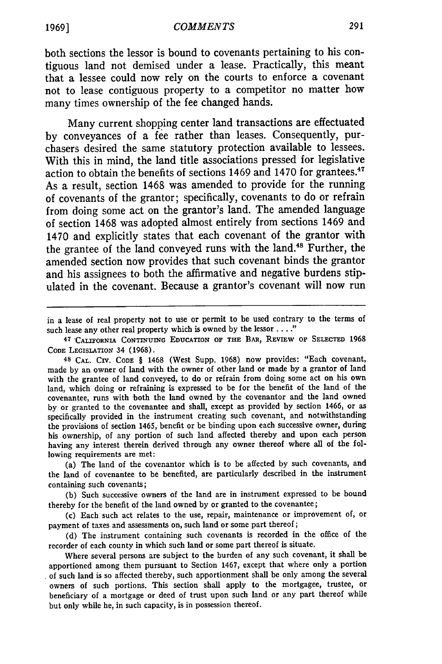#### 1969] *COMMENTS*

both sections the lessor is bound to covenants pertaining to his contiguous land not demised under a lease. Practically, this meant that a lessee could now rely on the courts to enforce a covenant not to lease contiguous property to a competitor no matter how many times ownership of the fee changed hands.

Many current shopping center land transactions are effectuated by conveyances of a fee rather than leases. Consequently, purchasers desired the same statutory protection available to lessees. With this in mind, the land title associations pressed for legislative action to obtain the benefits of sections 1469 and 1470 for grantees.<sup>47</sup> As a result, section 1468 was amended to provide for the running of covenants of the grantor; specifically, covenants to do or refrain from doing some act on the grantor's land. The amended language of section 1468 was adopted almost entirely from sections 1469 and 1470 and explicitly states that each covenant of the grantor with the grantee of the land conveyed runs with the land.48 Further, the amended section now provides that such covenant binds the grantor and his assignees to both the affirmative and negative burdens stipulated in the covenant. Because a grantor's covenant will now run

(a) The land of the covenantor which is to be affected by such covenants, and the land of covenantee to be benefited, are particularly described in the instrument containing such covenants;

**(b)** Such successive owners of the land are in instrument expressed to be bound thereby for the benefit of the land owned by or granted to the covenantee;

(c) Each such act relates to the use, repair, maintenance or improvement of, or payment of taxes and assessments on, such land or some part thereof;

**(d)** The instrument containing such covenants is recorded in the office of the recorder of each county in which such land or some part thereof is situate.

Where several persons are subject to the burden of any such covenant, it shall be apportioned among them pursuant to Section 1467, except that where only a portion of such land is so affected thereby, such apportionment shall be only among the several owners of such portions. This section shall apply to the mortgagee, trustee, or beneficiary of a mortgage or deed of trust upon such land or any part thereof while but only while he, in such capacity, is in possession thereof.

in a lease of real property not to use or permit to be used contrary to the terms of such lease any other real property which is owned by the lessor **....** "

**<sup>47 &#</sup>x27;CALIFORNIA CONTINUING EDUCATION** OF **THE** BAR, **REVIEW** OF **SELECTED** 1968 **CODE** LEGISLATION 34 **(1968).**

<sup>48</sup> **CAL.** CIV. **CODE** § 1468 (West Supp. 1968) now provides: "Each covenant, made by an owner of land with the owner of other land or made by a grantor of land with the grantee of land conveyed, to do or refrain from doing some act on his own land, which doing or refraining is expressed to be for the benefit of the land of the covenantee, runs with both the land owned by the covenantor and the land owned by or granted to the covenantee and shall, except as provided by section 1466, or as specifically provided in the instrument creating such covenant, and notwithstanding the provisions of section 1465, benefit or be binding upon each successive owner, during his ownership, of any portion of such land affected thereby and upon each person having any interest therein derived through any owner thereof where all of the following requirements are met: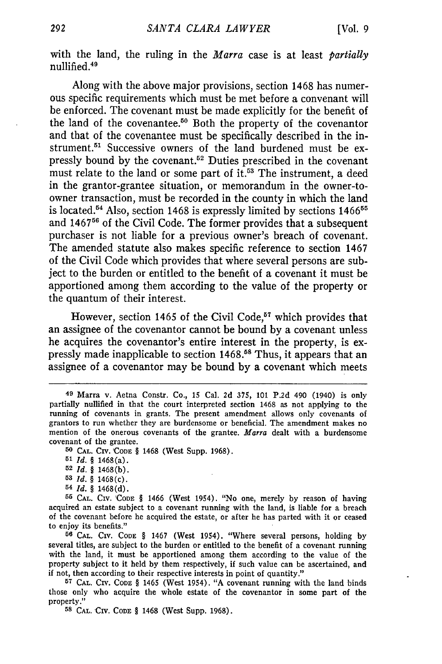with the land, the ruling in the *Marra* case is at least *partially* nullified.<sup>49</sup>

Along with the above major provisions, section 1468 has numerous specific requirements which must be met before a convenant will be enforced. The covenant must be made explicitly for the benefit of the land of the covenantee. $50$  Both the property of the covenantor and that of the covenantee must be specifically described in the instrument.<sup>51</sup> Successive owners of the land burdened must be expressly bound by the covenant.<sup>52</sup> Duties prescribed in the covenant must relate to the land or some part of it.<sup>53</sup> The instrument, a deed in the grantor-grantee situation, or memorandum in the owner-toowner transaction, must be recorded in the county in which the land is located.<sup>54</sup> Also, section 1468 is expressly limited by sections  $1466^{55}$ and 1467<sup>56</sup> of the Civil Code. The former provides that a subsequent purchaser is not liable for a previous owner's breach of covenant. The amended statute also makes specific reference to section 1467 of the Civil Code which provides that where several persons are subject to the burden or entitled to the benefit of a covenant it must be apportioned among them according to the value of the property or the quantum of their interest.

However, section 1465 of the Civil Code,<sup>57</sup> which provides that an assignee of the covenantor cannot be bound by a covenant unless he acquires the covenantor's entire interest in the property, is expressly made inapplicable to section 1468.58 Thus, it appears that an assignee of a covenantor may be bound by a covenant which meets

50 **CAL.** CIV. **'ConE** § 1468 (West Supp. 1968).

- **52** Id. § 1468(b).
- **53** Id. *§* 1468(c).
- **54** *Id. §* 1468(d).

**56** CAL. **CIV. CODE** § 1467 (West 1954). "Where several persons, holding by several titles, are subject to the burden or entitled to the benefit of a covenant running with the land, it must be apportioned among them according to the value of the property subject to it held by them respectively, if such value can be ascertained, and if not, then according to their respective interests in point of quantity."

**<sup>57</sup>**CAL. CIV. **CODE** § 1465 (West 1954). "A covenant running with the land binds those only who acquire the whole estate of the covenantor in some part of the property."

**58** CAL. CIv. **CODE** § 1468 (West Supp. 1968).

<sup>49</sup> Marra v. Aetna Constr. Co., 15 Cal. 2d 375, 101 P.2d 490 (1940) is only partially nullified in that the court interpreted section 1468 as not applying to the running of covenants in grants. The present amendment allows only covenants of grantors to run whether they are burdensome or beneficial. The amendment makes no mention of the onerous covenants of the grantee. *Marra* dealt with a burdensome covenant of the grantee.

**<sup>51</sup>**Id. § 1468(a).

**<sup>55</sup> CAL. CIV. 'CoDE** § 1466 (West 1954). "No one, merely by reason of having acquired an estate subject to a covenant running with the land, is liable for a breach of the covenant before he acquired the estate, or after he has parted with it or ceased to enjoy its benefits."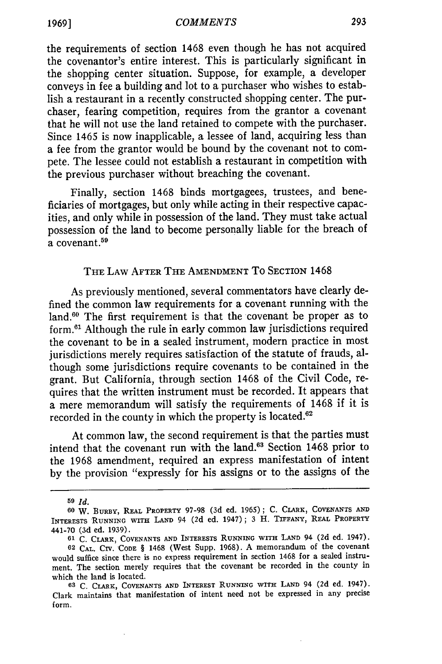the requirements of section 1468 even though he has not acquired the covenantor's entire interest. This is particularly significant in the shopping center situation. Suppose, for example, a developer conveys in fee a building and lot to a purchaser who wishes to establish a restaurant in a recently constructed shopping center. The purchaser, fearing competition, requires from the grantor a covenant that he will not use the land retained to compete with the purchaser. Since 1465 is now inapplicable, a lessee of land, acquiring less than a fee from the grantor would be bound by the covenant not to compete. The lessee could not establish a restaurant in competition with the previous purchaser without breaching the covenant.

Finally, section 1468 binds mortgagees, trustees, and beneficiaries of mortgages, but only while acting in their respective capacities, and only while in possession of the land. They must take actual possession of the land to become personally liable for the breach of a covenant.<sup>59</sup>

# THE LAW AFTER THE AMENDMENT To SECTION 1468

As previously mentioned, several commentators have clearly defined the common law requirements for a covenant running with the land.<sup>60</sup> The first requirement is that the covenant be proper as to form.61 Although the rule in early common law jurisdictions required the covenant to be in a sealed instrument, modern practice in most jurisdictions merely requires satisfaction of the statute of frauds, although some jurisdictions require covenants to be contained in the grant. But California, through section 1468 of the Civil Code, requires that the written instrument must be recorded. It appears that a mere memorandum will satisfy the requirements of 1468 if it is recorded in the county in which the property is located. $62$ 

At common law, the second requirement is that the parties must intend that the covenant run with the land.63 Section 1468 prior to the 1968 amendment, required an express manifestation of intent by the provision "expressly for his assigns or to the assigns of the

**<sup>59</sup>** *Id.*

**<sup>60</sup> W.** BURBY, REAL PROPERTY 97-98 (3d ed. 1965); C. CLARK, COVENANTS **AND** INTERESTS RUNNING **WITH LAND** 94 **(2d** ed. 1947); 3 H. TIFFANY, **REAL** PROPERTY 441-70 (3d ed. 1939).

**<sup>61</sup>** C. CLARK, **COVENANTS AND** INTERESTS RUNNING WITH **LAND** 94 (2d ed. 1947).

**<sup>62</sup> CAL.** CIV. **'CODE** § 1468 (West Supp. 1968). **A** memorandum of the covenant would suffice since there is no express requirement in section 1468 for a sealed instrument. The section merely requires that the covenant be recorded in the county in which the land is located.

**<sup>63</sup> C.** CLARK, **COVENANTS AND** INTEREST **RUNNING** WITH **LAND** 94 **(2d** ed. 1947). Clark maintains that manifestation of intent need not be expressed in any precise form.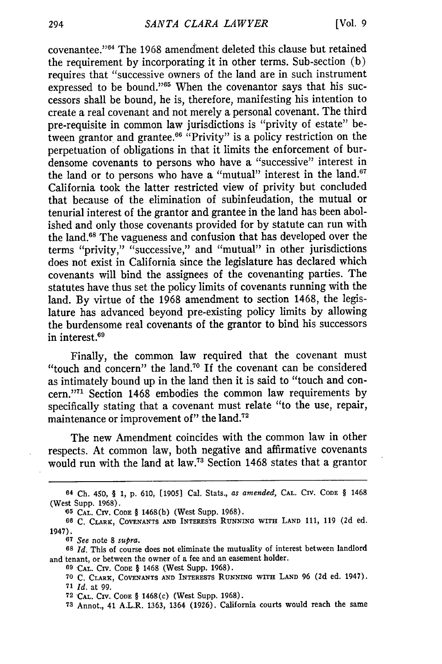covenantee."64 The 1968 amendment deleted this clause but retained the requirement by incorporating it in other terms. Sub-section (b) requires that "successive owners of the land are in such instrument expressed to be bound." $65$  When the covenantor says that his successors shall be bound, he is, therefore, manifesting his intention to create a real covenant and not merely a personal covenant. The third pre-requisite in common law jurisdictions is "privity of estate" between grantor and grantee.<sup>66</sup> "Privity" is a policy restriction on the perpetuation of obligations in that it limits the enforcement of burdensome covenants to persons who have a "successive" interest in the land or to persons who have a "mutual" interest in the land. $67$ California took the latter restricted view of privity but concluded that because of the elimination of subinfeudation, the mutual or tenurial interest of the grantor and grantee in the land has been abolished and only those covenants provided for by statute can run with the land.68 The vagueness and confusion that has developed over the terms "privity," "successive," and "mutual" in other jurisdictions does not exist in California since the legislature has declared which covenants will bind the assignees of the covenanting parties. The statutes have thus set the policy limits of covenants running with the land. By virtue of the 1968 amendment to section 1468, the legislature has advanced beyond pre-existing policy limits by allowing the burdensome real covenants of the grantor to bind his successors in interest.69

Finally, the common law required that the covenant must "touch and concern" the land.70 If the covenant can be considered as intimately bound up in the land then it is said to "touch and concern."<sup>71</sup> Section 1468 embodies the common law requirements by specifically stating that a covenant must relate "to the use, repair, maintenance or improvement of" the land.<sup>72</sup>

The new Amendment coincides with the common law in other respects. At common law, both negative and affirmative covenants would run with the land at law.<sup>73</sup> Section 1468 states that a grantor

**69 'CAL.** CrV. **CODE** § 1468 (West Supp. **1968).**

**70** C. CLARK, **COVENANTS AND INTERESTS RUNNING WITH LAND 96 (2d** ed. 1947). **<sup>71</sup>***Id.* at 99.

**72 'CAL.** Crv. **CODE** § 1468(c) (West Supp. 1968).

**73** Annot., 41 A.L.R. 1363, 1364 (1926). California courts would reach the same

<sup>64</sup> Ch. 450, § **1,** p. 610, [1905] Cal. Stats., *as amended,* **CAL.** CIV. **CODE** § 1468 (West Supp. **1968).**

**<sup>&#</sup>x27;65 CAL.** Crv. **CODE** § **1468(b)** (West Supp. **1968).**

**<sup>66</sup>** C. **CLARK, COVENANTS AND INTERESTS RUNNING WITH LAND 111, 119 (2d** ed. 1947).

**<sup>67</sup>** *See* note **8** *supra.*

**<sup>68</sup>***Id.* This of course does not eliminate the mutuality of interest between landlord and tenant, or between the owner of a fee and an easement holder.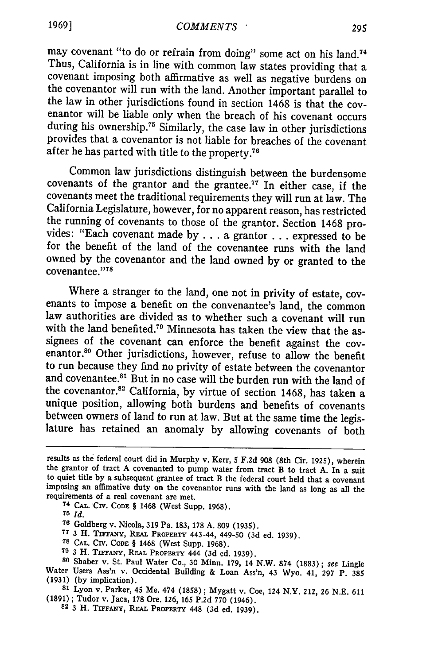may covenant "to do or refrain from doing" some act on his land.<sup>74</sup> Thus, California is in line with common law states providing that a covenant imposing both affirmative as well as negative burdens on the covenantor will run with the land. Another important parallel to the law in other jurisdictions found in section 1468 is that the covenantor will be liable only when the breach of his covenant occurs during his ownership.<sup>75</sup> Similarly, the case law in other jurisdictions provides that a covenantor is not liable for breaches of the covenant after he has parted with title to the property.<sup>76</sup>

Common law jurisdictions distinguish between the burdensome covenants of the grantor and the grantee.<sup>77</sup> In either case, if the covenants meet the traditional requirements they will run at law. The California Legislature, however, for no apparent reason, has restricted the running of covenants to those of the grantor. Section 1468 provides: "Each covenant made by ... a grantor **...** expressed to be for the benefit of the land of the covenantee runs with the land owned by the covenantor and the land owned by or granted to the covenantee."<sup>78</sup>

Where a stranger to the land, one not in privity of estate, covenants to impose a benefit on the convenantee's land, the common law authorities are divided as to whether such a covenant will run with the land benefited.<sup>79</sup> Minnesota has taken the view that the assignees of the covenant can enforce the benefit against the covenantor.<sup>80</sup> Other jurisdictions, however, refuse to allow the benefit to run because they find no privity of estate between the covenantor and covenantee.<sup>81</sup> But in no case will the burden run with the land of the covenantor.82 California, by virtue of section 1468, has taken a unique position, allowing both burdens and benefits of covenants between owners of land to run at law. But at the same time the legislature has retained an anomaly by allowing covenants of both

**<sup>75</sup>***Id.*

- 
- 
- **<sup>79</sup>**3 H. *TnEyAY,* **REAL PROPERTY** 444 (3d ed. 1939). **<sup>80</sup>**Shaber v. St. Paul Water Co., 30 Minn. **179,** 14 N.W. 874 (1883); **see** Lingle Water Users Ass'n v. Occidental Building & Loan Ass'n, 43 Wyo. 41, 297 P. 385 (1931) (by implication).
- **<sup>81</sup>**Lyon v. Parker, 45 Me. 474 (1858); Mygatt v. Coe, 124 N.Y. 212, 26 N.E. 611 (1891) ; Tudor v. Jaca, 178 Ore. 126, 165 P.2d **770** (1946). **<sup>82</sup>**3 H. **TiFFANY, REAL** PROPERTY 448 (3d ed. 1939).
	-

results as the federal court did in Murphy v. Kerr, 5 **F.2d 908** (8th Cir. 1925), wherein the grantor of tract A covenanted to pump water from tract B to tract A. In a suit to quiet title by a subsequent grantee of tract B the federal court held that a covenant imposing an affimative duty on the covenantor runs with the land as long as all the

requirements of a real covenant are met. **<sup>74</sup>**CAL. 'CIV. **CODE** § 1468 (West Supp. 1968).

**<sup>76</sup>**Goldberg v. Nicola, 319 Pa. 183, 178 A. 809 (1935).

**<sup>77</sup>**3 H. TnTANY, RA.L PROPERTY 443-44, 449-50 (3d ed. 1939). **78 CAL.** CIv. **CODE** § 1468 (West Supp. 1968).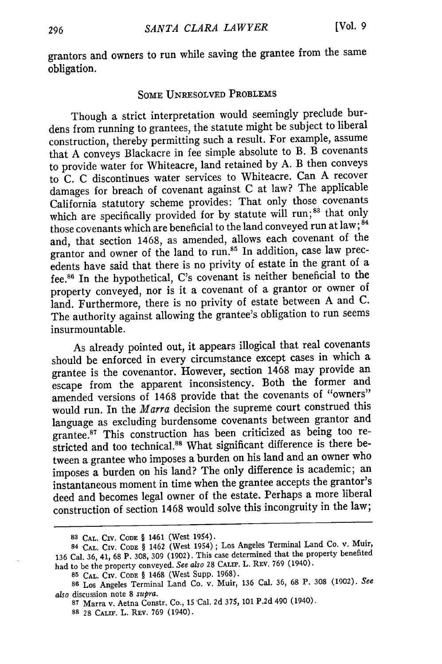grantors and owners to run while saving the grantee from the same obligation.

# **SOME** UNRESOLVED PROBLEMS

Though a strict interpretation would seemingly preclude burdens from running to grantees, the statute might be subject to liberal construction, thereby permitting such a result. For example, assume that A conveys Blackacre in fee simple absolute to B. B covenants to provide water for Whiteacre, land retained by A. B then conveys to C. C discontinues water services to Whiteacre. Can A recover damages for breach of covenant against C at law? The applicable California statutory scheme provides: That only those covenants which are specifically provided for by statute will run;<sup>83</sup> that only those covenants which are beneficial to the land conveyed run at law; **<sup>84</sup>** and, that section 1468, as amended, allows each covenant of the grantor and owner of the land to run.<sup>85</sup> In addition, case law precedents have said that there is no privity of estate in the grant of a fee. 6 In the hypothetical, C's covenant is neither beneficial to the property conveyed, nor is it a covenant of a grantor or owner of land. Furthermore, there is no privity of estate between A and C. The authority against allowing the grantee's obligation to run seems insurmountable.

As already pointed out, it appears illogical that real covenants should be enforced in every circumstance except cases in which a grantee is the covenantor. However, section 1468 may provide an escape from the apparent inconsistency. Both the former and amended versions of 1468 provide that the covenants of "owners" would run. In the *Marra* decision the supreme court construed this language as excluding burdensome covenants between grantor and grantee.87 This construction has been criticized as being too restricted and too technical.<sup>88</sup> What significant difference is there between a grantee who imposes a burden on his land and an owner who imposes a burden on his land? The only difference is academic; an instantaneous moment in time when the grantee accepts the grantor's deed and becomes legal owner of the estate. Perhaps a more liberal construction of section 1468 would solve this incongruity in the law;

**<sup>83</sup> CAL.** CIv. **CODE** § 1461 (West 1954).

**<sup>84</sup> CAL.** CIV. **CODE** § 1462 (West 1954); Los Angeles Terminal Land Co. v. Muir, **<sup>136</sup>**Cal. **36,** 41, **68** P. **308, 309 (1902).** This case determined that the property benefited had to be the property conveyed. *See also* **28 CALIF.** L. REV. **769** (1940).

**<sup>85</sup> CAL.** CIv. **CODE** § 1468 (West Supp. 1968).

**<sup>86</sup>**Los Angeles Terminal Land Co. v. Muir, **136** Cal. **36,** 68 P. **308** (1902). *See also* discussion note 8 *supra.*

**<sup>87</sup>**Marra v. Aetna Constr. Co., 15 'Cal. 2d 375, 101 P.2d 490 (1940).

**<sup>88</sup>** 28 **CALIF.** L. REV. 769 (1940).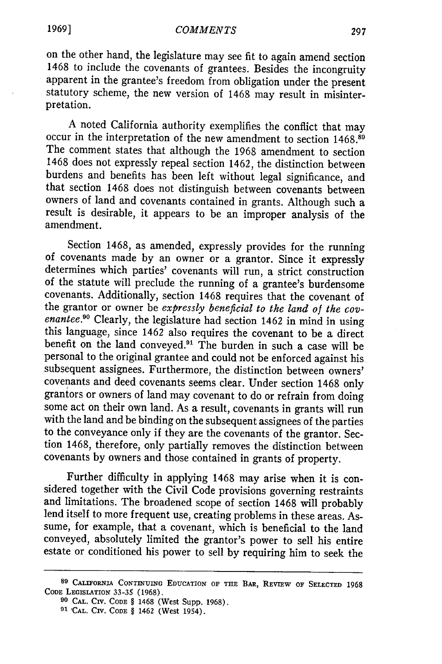on the other hand, the legislature may see fit to again amend section 1468 to include the covenants of grantees. Besides the incongruity apparent in the grantee's freedom from obligation under the present statutory scheme, the new version of 1468 may result in misinterpretation.

A noted California authority exemplifies the conflict that may occur in the interpretation of the new amendment to section 1468.89 The comment states that although the 1968 amendment to section 1468 does not expressly repeal section 1462, the distinction between burdens and benefits has been left without legal significance, and that section 1468 does not distinguish between covenants between owners of land and covenants contained in grants. Although such a result is desirable, it appears to be an improper analysis of the amendment.

Section 1468, as amended, expressly provides for the running of covenants made by an owner or a grantor. Since it expressly determines which parties' covenants will run, a strict construction of the statute will preclude the running of a grantee's burdensome covenants. Additionally, section 1468 requires that the covenant of the grantor or owner be *expressly beneficial to the land of the covenantee.*<sup>90</sup> Clearly, the legislature had section 1462 in mind in using this language, since 1462 also requires the covenant to be a direct benefit on the land conveyed.<sup>91</sup> The burden in such a case will be personal to the original grantee and could not be enforced against his subsequent assignees. Furthermore, the distinction between owners' covenants and deed covenants seems clear. Under section 1468 only grantors or owners of land may covenant to do or refrain from doing some act on their own land. As a result, covenants in grants will run with the land and be binding on the subsequent assignees of the parties to the conveyance only if they are the covenants of the grantor. Section 1468, therefore, only partially removes the distinction between covenants by owners and those contained in grants of property.

Further difficulty in applying 1468 may arise when it is considered together with the Civil Code provisions governing restraints and limitations. The broadened scope of section 1468 will probably lend itself to more frequent use, creating problems in these areas. Assume, for example, that a covenant, which is beneficial to the land conveyed, absolutely limited the grantor's power to sell his entire estate or conditioned his power to sell by requiring him to seek the

**<sup>89</sup>**CALIFORNIA CONTINUING **EDUCATION** OF **THE** BAR, REVIEW **OF SELECTED 1968 CODE** LEGISLATION 33-35 (1968).

**<sup>90</sup> CAL.** CIV. **CODE** § 1468 (West Supp. 1968).

**<sup>91</sup>** 'CAL. CIv. CODE § 1462 (West 1954).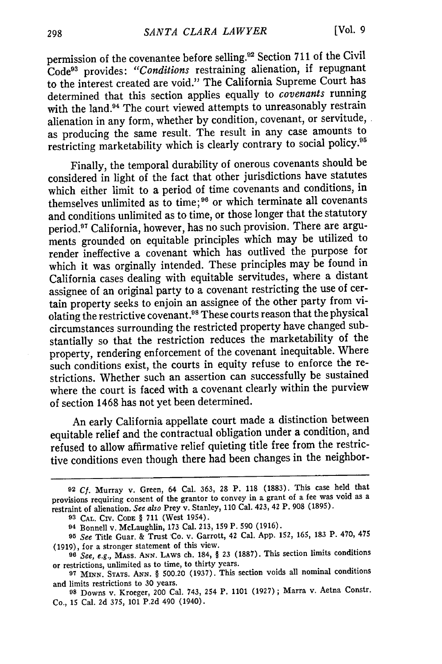permission of the covenantee before selling.92 Section 711 of the Civil Code93 provides: *"Conditions* restraining alienation, if repugnant to the interest created are void." The California Supreme Court has determined that this section applies equally to *covenants* running with the land.<sup>94</sup> The court viewed attempts to unreasonably restrain alienation in any form, whether by condition, covenant, or servitude, as producing the same result. The result in any case amounts to restricting marketability which is clearly contrary to social policy.95

Finally, the temporal durability of onerous covenants should be considered in light of the fact that other jurisdictions have statutes which either limit to a period of time covenants and conditions, in themselves unlimited as to time; **96** or which terminate all covenants and conditions unlimited as to time, or those longer that the statutory period.97 California, however, has no such provision. There are arguments grounded on equitable principles which may be utilized to render ineffective a covenant which has outlived the purpose for which it was orginally intended. These principles may be found in California cases dealing with equitable servitudes, where a distant assignee of an original party to a covenant restricting the use of certain property seeks to enjoin an assignee of the other party from violating the restrictive covenant. 98 These courts reason that the physical circumstances surrounding the restricted property have changed substantially so that the restriction reduces the marketability of the property, rendering enforcement of the covenant inequitable. Where such conditions exist, the courts in equity refuse to enforce the restrictions. Whether such an assertion can successfully be sustained where the court is faced with a covenant clearly within the purview of section 1468 has not yet been determined.

An early California appellate court made a distinction between equitable relief and the contractual obligation under a condition, and refused to allow affirmative relief quieting title free from the restrictive conditions even though there had been changes in the neighbor-

**<sup>92</sup>Cf.** Murray v. Green, 64 Cal. **363, 28** P. 118 (1883). This case held that provisions requiring consent of the grantor to convey in a grant of a fee was void as a restraint of alienation. See also Prey v. Stanley, **110** Cal. 423, 42 P. **908 (1895).**

**<sup>93</sup>** CAL. CIV. **CODE** § 711 (West 1954).

**<sup>94</sup>** Bonnell v. McLaughlin, **173** Cal. 213, 159 P. 590 (1916).

**<sup>95</sup>**See Title Guar. & Trust 'Co. v. Garrott, 42 Cal. **App.** 152, 165, **183** P. 470, 475 (1919), for a stronger statement of this view.

**<sup>96</sup>**See, e.g., **MASS. ANN.** LAWS ch. 184, § 23 (1887). This section limits conditions or restrictions, unlimited as to time, to thirty years.

**<sup>97</sup> MINN. STATS. ANN.** § 500.20 (1937). This section voids all nominal conditions and limits restrictions to 30 years.

*<sup>98</sup>*Downs v. Kroeger, 200 Cal. 743, 254 P. 1101 (1927) **;** Marra v. Aetna Constr. Co., 15 Cal. 2d 375, 101 P.2d 490 (1940).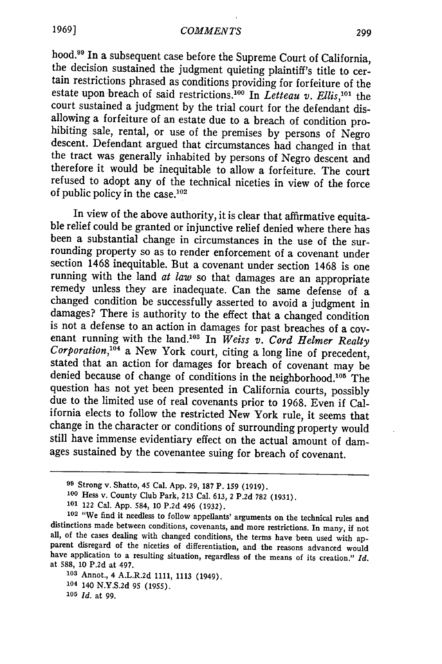*COMMENTS*

hood.<sup>99</sup> In a subsequent case before the Supreme Court of California, the decision sustained the judgment quieting plaintiff's title to certain restrictions phrased as conditions providing for forfeiture of the estate upon breach of said restrictions.<sup>100</sup> In *Letteau v. Ellis*,<sup>101</sup> the court sustained a judgment by the trial court for the defendant dis-<br>allowing a forfeiture of an estate due to a breach of condition prohibiting sale, rental, or use of the premises by persons of Negro descent. Defendant argued that circumstances had changed in that the tract was generally inhabited by persons of Negro descent and therefore it would be inequitable to allow a forfeiture. The court refused to adopt any of the technical niceties in view of the force of public policy in the case.<sup>102</sup>

In view of the above authority, it is clear that affirmative equita- ble relief could be granted or injunctive relief denied where there has been a substantial change in circumstances in the use of the surrounding property so as to render enforcement of a covenant under section 1468 inequitable. But a covenant under section 1468 is one running with the land *at law* so that damages are an appropriate remedy unless they are inadequate. Can the same defense of a changed condition be successfully asserted to avoid a judgment in damages? There is authority to the effect that a changed condition is not a defense to an action in damages for past breaches of a covenant running with the land.<sup>103</sup> In *Weiss v. Cord Helmer Realty Corporation*,<sup>104</sup> a New York court, citing a long line of precedent, stated that an action for damages for breach of covenant may be denied because of change of conditions in the neighborhood.'05 The question has not yet been presented in California courts, possibly due to the limited use of real covenants prior to 1968. Even if California elects to follow the restricted New York rule, it seems that change in the character or conditions of surrounding property would still have immense evidentiary effect on the actual amount of damages sustained by the covenantee suing for breach of covenant.

**<sup>99</sup>**Strong v. Shatto, 45 Cal. **App. 29,** 187 **P. 159 (1919).**

**<sup>100</sup>**Hess v. County Club Park, 213 Cal. 613, 2 P.2d 782 (1931).

**<sup>101</sup>** 122 Cal. App. 584, 10 P.2d 496 (1932).

**<sup>102</sup>**"We find it needless to follow appellants' arguments on the technical rules and distinctions made between conditions, covenants, and more restrictions. In many, if not all, of the cases dealing with changed conditions, the terms have been used with apparent disregard of the niceties of differentiation have application to a resulting situation, regardless of the means of its creation." *Id.* at 588, 10 P.2d at 497.

**<sup>103</sup>**Annot., 4 A.L.R.2d 1111, 1113 (1949).

**<sup>104</sup>** 140 N.Y.S.2d 95 (1955).

**<sup>105</sup>** *Id.* at 99.